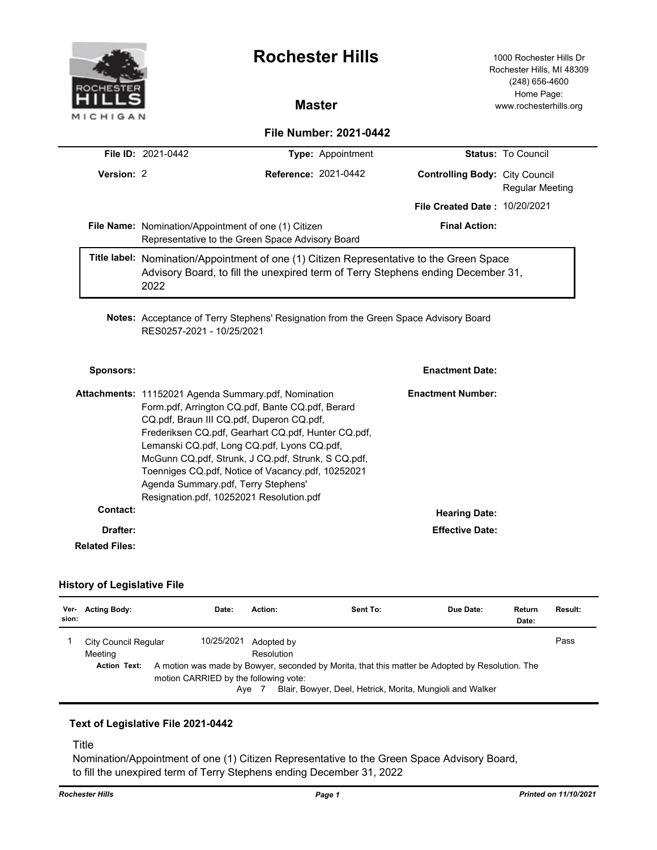

## **History of Legislative File**

| Ver-<br>sion: | <b>Acting Body:</b>                                    | Date:                                               | Action:                           | Sent To:                                                                                                                                                     | Due Date: | Return<br>Date: | Result: |
|---------------|--------------------------------------------------------|-----------------------------------------------------|-----------------------------------|--------------------------------------------------------------------------------------------------------------------------------------------------------------|-----------|-----------------|---------|
|               | City Council Regular<br>Meetina<br><b>Action Text:</b> | 10/25/2021<br>motion CARRIED by the following vote: | Adopted by<br>Resolution<br>Aye 7 | A motion was made by Bowyer, seconded by Morita, that this matter be Adopted by Resolution. The<br>Blair, Bowyer, Deel, Hetrick, Morita, Mungioli and Walker |           |                 | Pass    |

## **Text of Legislative File 2021-0442**

Title

Nomination/Appointment of one (1) Citizen Representative to the Green Space Advisory Board, to fill the unexpired term of Terry Stephens ending December 31, 2022